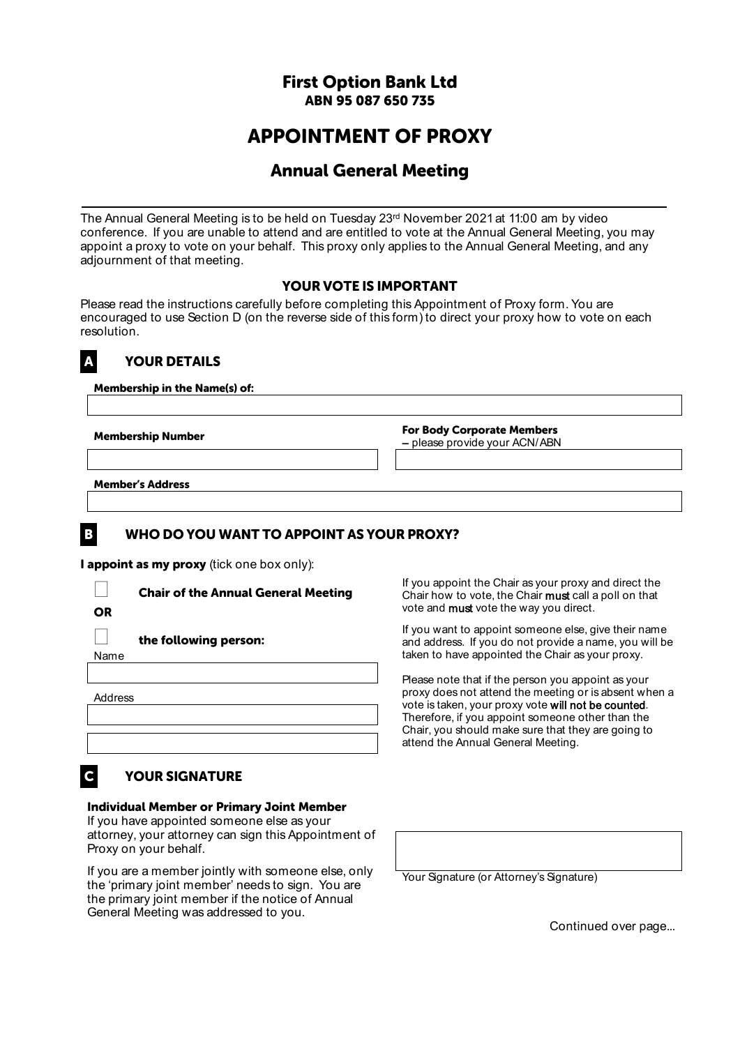#### **First Option Bank Ltd ABN 95 087 650 735**

# **APPOINTMENT OF PROXY**

## **Annual General Meeting**

The Annual General Meeting is to be held on Tuesday 23<sup>rd</sup> November 2021 at 11:00 am by video conference. If you are unable to attend and are entitled to vote at the Annual General Meeting, you may appoint a proxy to vote on your behalf. This proxy only applies to the Annual General Meeting, and any adjournment of that meeting.

#### **YOUR VOTE IS IMPORTANT**

Please read the instructions carefully before completing this Appointment of Proxy form. You are encouraged to use Section D (on the reverse side of this form) to direct your proxy how to vote on each resolution.

## **A YOUR DETAILS**

**Membership in the Name(s) of:** 

**Membership Number For Body Corporate Members**  – please provide your ACN/ABN

**Member's Address**

#### **B WHO DO YOU WANT TO APPOINT AS YOUR PROXY?**

**I appoint as my proxy** (tick one box only):

| <b>Chair of the Annual General Meeting</b> |
|--------------------------------------------|
|                                            |
| the following person:                      |
|                                            |
|                                            |
|                                            |
|                                            |
|                                            |

If you appoint the Chair as your proxy and direct the Chair how to vote, the Chair must call a poll on that vote and **must** vote the way you direct.

If you want to appoint someone else, give their name and address. If you do not provide a name, you will be taken to have appointed the Chair as your proxy.

Please note that if the person you appoint as your proxy does not attend the meeting or is absent when a vote is taken, your proxy vote will not be counted. Therefore, if you appoint someone other than the Chair, you should make sure that they are going to attend the Annual General Meeting.

# **C YOUR SIGNATURE**

#### **Individual Member or Primary Joint Member**

If you have appointed someone else as your attorney, your attorney can sign this Appointment of Proxy on your behalf.

If you are a member jointly with someone else, only the 'primary joint member' needs to sign. You are the primary joint member if the notice of Annual General Meeting was addressed to you.

Your Signature (or Attorney's Signature)

Continued over page...